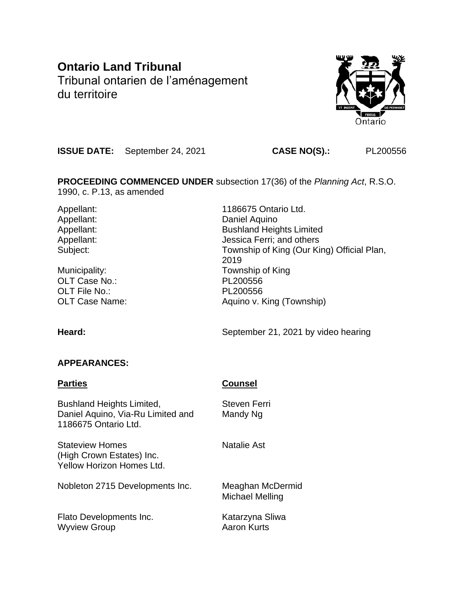# **Ontario Land Tribunal**

Tribunal ontarien de l'aménagement du territoire



**ISSUE DATE:** September 24, 2021 **CASE NO(S).:** PL200556

**PROCEEDING COMMENCED UNDER** subsection 17(36) of the *Planning Act*, R.S.O. 1990, c. P.13, as amended

Municipality: Municipality: Township of King OLT Case No.: PL200556 OLT File No.: PL200556

Appellant: 1186675 Ontario Ltd. Appellant: Daniel Aquino Appellant: Bushland Heights Limited Appellant: Appellant: Jessica Ferri; and others Subject: Township of King (Our King) Official Plan, 2019 OLT Case Name:  $\begin{array}{ccc} \hline \text{OLT} & \text{Case Name:} \\ \hline \end{array}$  Aquino v. King (Township)

Heard: **Heard:** September 21, 2021 by video hearing

## **APPEARANCES:**

## **Parties Counsel**

Bushland Heights Limited, Steven Ferri Daniel Aquino, Via-Ru Limited and Mandy Ng 1186675 Ontario Ltd.

Stateview Homes Natalie Ast (High Crown Estates) Inc. Yellow Horizon Homes Ltd.

Nobleton 2715 Developments Inc. Meaghan McDermid

Flato Developments Inc. The Katarzyna Sliwa Wyview Group **Aaron** Kurts

Michael Melling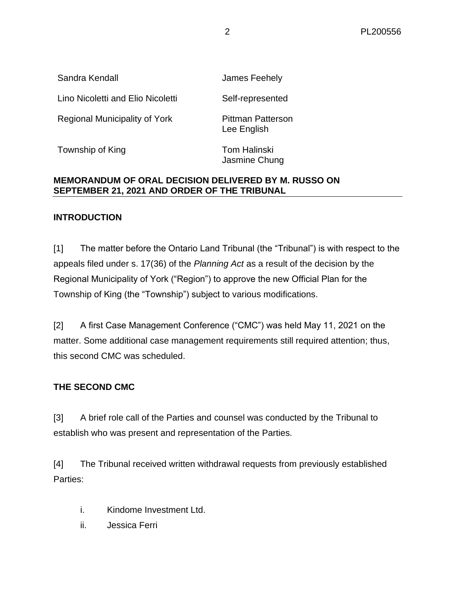| Sandra Kendall                    | James Feehely                           |
|-----------------------------------|-----------------------------------------|
| Lino Nicoletti and Elio Nicoletti | Self-represented                        |
| Regional Municipality of York     | <b>Pittman Patterson</b><br>Lee English |
| Township of King                  | <b>Tom Halinski</b>                     |

## **MEMORANDUM OF ORAL DECISION DELIVERED BY M. RUSSO ON SEPTEMBER 21, 2021 AND ORDER OF THE TRIBUNAL**

#### **INTRODUCTION**

[1] The matter before the Ontario Land Tribunal (the "Tribunal") is with respect to the appeals filed under s. 17(36) of the *Planning Act* as a result of the decision by the Regional Municipality of York ("Region") to approve the new Official Plan for the Township of King (the "Township") subject to various modifications.

Jasmine Chung

[2] A first Case Management Conference ("CMC") was held May 11, 2021 on the matter. Some additional case management requirements still required attention; thus, this second CMC was scheduled.

#### **THE SECOND CMC**

[3] A brief role call of the Parties and counsel was conducted by the Tribunal to establish who was present and representation of the Parties.

[4] The Tribunal received written withdrawal requests from previously established Parties:

- i. Kindome Investment Ltd.
- ii. Jessica Ferri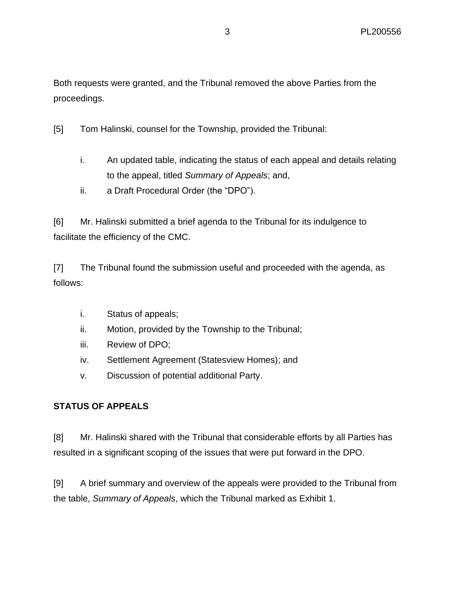Both requests were granted, and the Tribunal removed the above Parties from the proceedings.

[5] Tom Halinski, counsel for the Township, provided the Tribunal:

- i. An updated table, indicating the status of each appeal and details relating to the appeal, titled *Summary of Appeals*; and,
- ii. a Draft Procedural Order (the "DPO").

[6] Mr. Halinski submitted a brief agenda to the Tribunal for its indulgence to facilitate the efficiency of the CMC.

[7] The Tribunal found the submission useful and proceeded with the agenda, as follows:

- i. Status of appeals;
- ii. Motion, provided by the Township to the Tribunal;
- iii. Review of DPO;
- iv. Settlement Agreement (Statesview Homes); and
- v. Discussion of potential additional Party.

## **STATUS OF APPEALS**

[8] Mr. Halinski shared with the Tribunal that considerable efforts by all Parties has resulted in a significant scoping of the issues that were put forward in the DPO.

[9] A brief summary and overview of the appeals were provided to the Tribunal from the table, *Summary of Appeals*, which the Tribunal marked as Exhibit 1.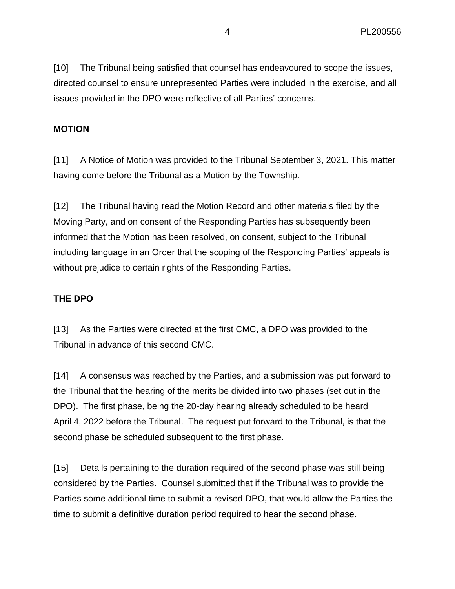[10] The Tribunal being satisfied that counsel has endeavoured to scope the issues, directed counsel to ensure unrepresented Parties were included in the exercise, and all issues provided in the DPO were reflective of all Parties' concerns.

#### **MOTION**

[11] A Notice of Motion was provided to the Tribunal September 3, 2021. This matter having come before the Tribunal as a Motion by the Township.

[12] The Tribunal having read the Motion Record and other materials filed by the Moving Party, and on consent of the Responding Parties has subsequently been informed that the Motion has been resolved, on consent, subject to the Tribunal including language in an Order that the scoping of the Responding Parties' appeals is without prejudice to certain rights of the Responding Parties.

## **THE DPO**

[13] As the Parties were directed at the first CMC, a DPO was provided to the Tribunal in advance of this second CMC.

[14] A consensus was reached by the Parties, and a submission was put forward to the Tribunal that the hearing of the merits be divided into two phases (set out in the DPO). The first phase, being the 20-day hearing already scheduled to be heard April 4, 2022 before the Tribunal. The request put forward to the Tribunal, is that the second phase be scheduled subsequent to the first phase.

[15] Details pertaining to the duration required of the second phase was still being considered by the Parties. Counsel submitted that if the Tribunal was to provide the Parties some additional time to submit a revised DPO, that would allow the Parties the time to submit a definitive duration period required to hear the second phase.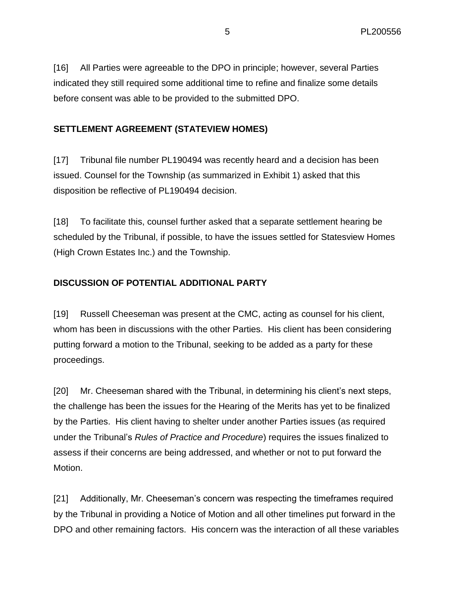[16] All Parties were agreeable to the DPO in principle; however, several Parties indicated they still required some additional time to refine and finalize some details before consent was able to be provided to the submitted DPO.

## **SETTLEMENT AGREEMENT (STATEVIEW HOMES)**

[17] Tribunal file number PL190494 was recently heard and a decision has been issued. Counsel for the Township (as summarized in Exhibit 1) asked that this disposition be reflective of PL190494 decision.

[18] To facilitate this, counsel further asked that a separate settlement hearing be scheduled by the Tribunal, if possible, to have the issues settled for Statesview Homes (High Crown Estates Inc.) and the Township.

#### **DISCUSSION OF POTENTIAL ADDITIONAL PARTY**

[19] Russell Cheeseman was present at the CMC, acting as counsel for his client, whom has been in discussions with the other Parties. His client has been considering putting forward a motion to the Tribunal, seeking to be added as a party for these proceedings.

[20] Mr. Cheeseman shared with the Tribunal, in determining his client's next steps, the challenge has been the issues for the Hearing of the Merits has yet to be finalized by the Parties. His client having to shelter under another Parties issues (as required under the Tribunal's *Rules of Practice and Procedure*) requires the issues finalized to assess if their concerns are being addressed, and whether or not to put forward the Motion.

[21] Additionally, Mr. Cheeseman's concern was respecting the timeframes required by the Tribunal in providing a Notice of Motion and all other timelines put forward in the DPO and other remaining factors. His concern was the interaction of all these variables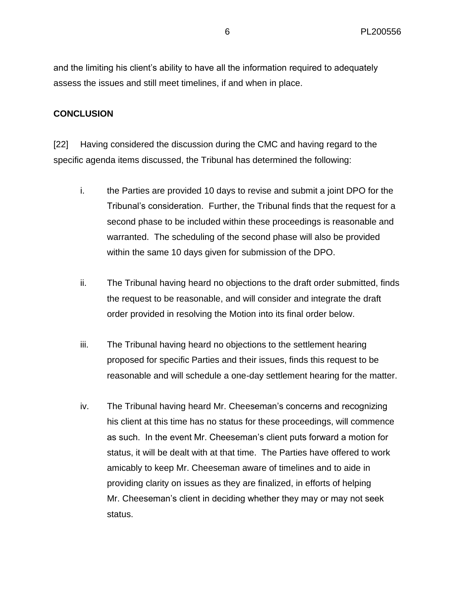and the limiting his client's ability to have all the information required to adequately assess the issues and still meet timelines, if and when in place.

#### **CONCLUSION**

[22] Having considered the discussion during the CMC and having regard to the specific agenda items discussed, the Tribunal has determined the following:

- i. the Parties are provided 10 days to revise and submit a joint DPO for the Tribunal's consideration. Further, the Tribunal finds that the request for a second phase to be included within these proceedings is reasonable and warranted. The scheduling of the second phase will also be provided within the same 10 days given for submission of the DPO.
- ii. The Tribunal having heard no objections to the draft order submitted, finds the request to be reasonable, and will consider and integrate the draft order provided in resolving the Motion into its final order below.
- iii. The Tribunal having heard no objections to the settlement hearing proposed for specific Parties and their issues, finds this request to be reasonable and will schedule a one-day settlement hearing for the matter.
- iv. The Tribunal having heard Mr. Cheeseman's concerns and recognizing his client at this time has no status for these proceedings, will commence as such. In the event Mr. Cheeseman's client puts forward a motion for status, it will be dealt with at that time. The Parties have offered to work amicably to keep Mr. Cheeseman aware of timelines and to aide in providing clarity on issues as they are finalized, in efforts of helping Mr. Cheeseman's client in deciding whether they may or may not seek status.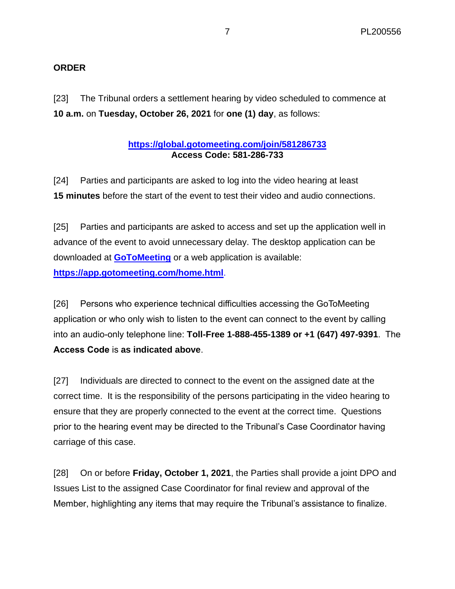#### **ORDER**

[23] The Tribunal orders a settlement hearing by video scheduled to commence at **10 a.m.** on **Tuesday, October 26, 2021** for **one (1) day**, as follows:

#### **<https://global.gotomeeting.com/join/581286733> Access Code: 581-286-733**

[24] Parties and participants are asked to log into the video hearing at least **15 minutes** before the start of the event to test their video and audio connections.

[25] Parties and participants are asked to access and set up the application well in advance of the event to avoid unnecessary delay. The desktop application can be downloaded at **[GoToMeeting](https://global.gotomeeting.com/install)** or a web application is available: **<https://app.gotomeeting.com/home.html>**.

[26] Persons who experience technical difficulties accessing the GoToMeeting application or who only wish to listen to the event can connect to the event by calling into an audio-only telephone line: **Toll-Free 1-888-455-1389 or +1 (647) 497-9391**. The **Access Code** is **as indicated above**.

[27] Individuals are directed to connect to the event on the assigned date at the correct time. It is the responsibility of the persons participating in the video hearing to ensure that they are properly connected to the event at the correct time. Questions prior to the hearing event may be directed to the Tribunal's Case Coordinator having carriage of this case.

[28] On or before **Friday, October 1, 2021**, the Parties shall provide a joint DPO and Issues List to the assigned Case Coordinator for final review and approval of the Member, highlighting any items that may require the Tribunal's assistance to finalize.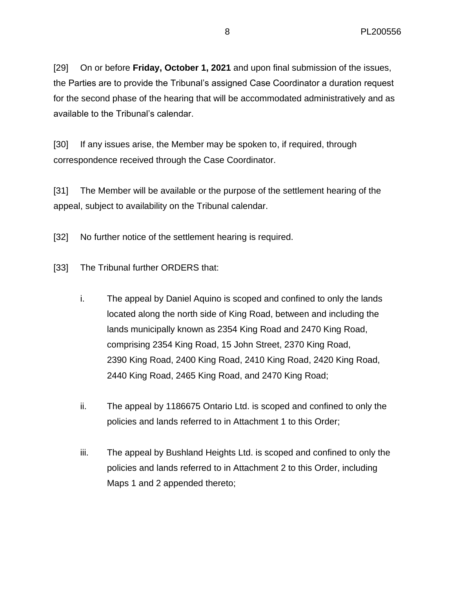[29] On or before **Friday, October 1, 2021** and upon final submission of the issues, the Parties are to provide the Tribunal's assigned Case Coordinator a duration request for the second phase of the hearing that will be accommodated administratively and as available to the Tribunal's calendar.

[30] If any issues arise, the Member may be spoken to, if required, through correspondence received through the Case Coordinator.

[31] The Member will be available or the purpose of the settlement hearing of the appeal, subject to availability on the Tribunal calendar.

[32] No further notice of the settlement hearing is required.

[33] The Tribunal further ORDERS that:

- i. The appeal by Daniel Aquino is scoped and confined to only the lands located along the north side of King Road, between and including the lands municipally known as 2354 King Road and 2470 King Road, comprising 2354 King Road, 15 John Street, 2370 King Road, 2390 King Road, 2400 King Road, 2410 King Road, 2420 King Road, 2440 King Road, 2465 King Road, and 2470 King Road;
- ii. The appeal by 1186675 Ontario Ltd. is scoped and confined to only the policies and lands referred to in Attachment 1 to this Order;
- iii. The appeal by Bushland Heights Ltd. is scoped and confined to only the policies and lands referred to in Attachment 2 to this Order, including Maps 1 and 2 appended thereto;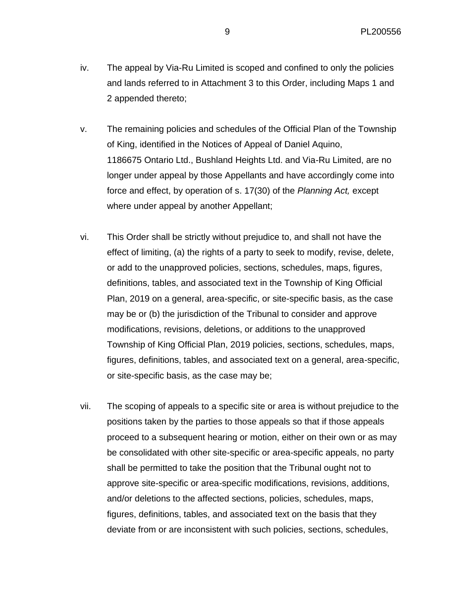- iv. The appeal by Via-Ru Limited is scoped and confined to only the policies and lands referred to in Attachment 3 to this Order, including Maps 1 and 2 appended thereto;
- v. The remaining policies and schedules of the Official Plan of the Township of King, identified in the Notices of Appeal of Daniel Aquino, 1186675 Ontario Ltd., Bushland Heights Ltd. and Via-Ru Limited, are no longer under appeal by those Appellants and have accordingly come into force and effect, by operation of s. 17(30) of the *Planning Act,* except where under appeal by another Appellant;
- vi. This Order shall be strictly without prejudice to, and shall not have the effect of limiting, (a) the rights of a party to seek to modify, revise, delete, or add to the unapproved policies, sections, schedules, maps, figures, definitions, tables, and associated text in the Township of King Official Plan, 2019 on a general, area-specific, or site-specific basis, as the case may be or (b) the jurisdiction of the Tribunal to consider and approve modifications, revisions, deletions, or additions to the unapproved Township of King Official Plan, 2019 policies, sections, schedules, maps, figures, definitions, tables, and associated text on a general, area-specific, or site-specific basis, as the case may be;
- vii. The scoping of appeals to a specific site or area is without prejudice to the positions taken by the parties to those appeals so that if those appeals proceed to a subsequent hearing or motion, either on their own or as may be consolidated with other site-specific or area-specific appeals, no party shall be permitted to take the position that the Tribunal ought not to approve site-specific or area-specific modifications, revisions, additions, and/or deletions to the affected sections, policies, schedules, maps, figures, definitions, tables, and associated text on the basis that they deviate from or are inconsistent with such policies, sections, schedules,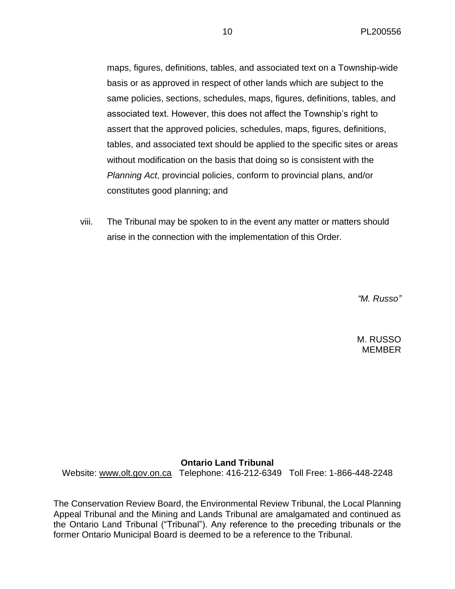maps, figures, definitions, tables, and associated text on a Township-wide basis or as approved in respect of other lands which are subject to the same policies, sections, schedules, maps, figures, definitions, tables, and associated text. However, this does not affect the Township's right to assert that the approved policies, schedules, maps, figures, definitions, tables, and associated text should be applied to the specific sites or areas without modification on the basis that doing so is consistent with the *Planning Act*, provincial policies, conform to provincial plans, and/or constitutes good planning; and

viii. The Tribunal may be spoken to in the event any matter or matters should arise in the connection with the implementation of this Order.

*"M. Russo"*

M. RUSSO MEMBER

#### **Ontario Land Tribunal**

Website: [www.olt.gov.on.ca](http://www.olt.gov.on.ca/) Telephone: 416-212-6349 Toll Free: 1-866-448-2248

The Conservation Review Board, the Environmental Review Tribunal, the Local Planning Appeal Tribunal and the Mining and Lands Tribunal are amalgamated and continued as the Ontario Land Tribunal ("Tribunal"). Any reference to the preceding tribunals or the former Ontario Municipal Board is deemed to be a reference to the Tribunal.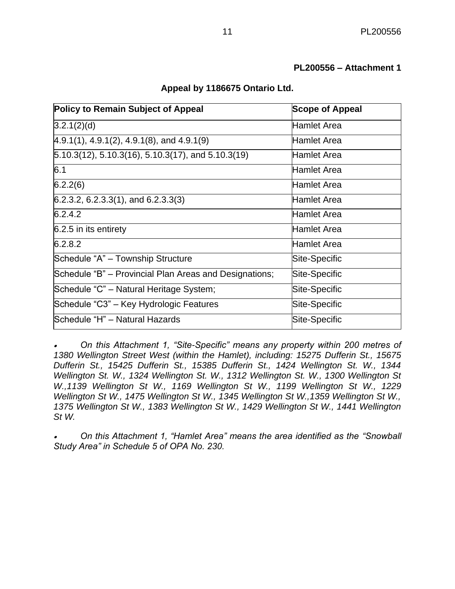#### **PL200556 – Attachment 1**

|  |  |  |  |  | Appeal by 1186675 Ontario Ltd. |  |
|--|--|--|--|--|--------------------------------|--|
|--|--|--|--|--|--------------------------------|--|

| <b>Policy to Remain Subject of Appeal</b>              | <b>Scope of Appeal</b> |  |
|--------------------------------------------------------|------------------------|--|
| 3.2.1(2)(d)                                            | <b>Hamlet Area</b>     |  |
| $(4.9.1(1), 4.9.1(2), 4.9.1(8),$ and $4.9.1(9)$        | Hamlet Area            |  |
| $5.10.3(12)$ , 5.10.3(16), 5.10.3(17), and 5.10.3(19)  | Hamlet Area            |  |
| 6.1                                                    | Hamlet Area            |  |
| 6.2.2(6)                                               | Hamlet Area            |  |
| $6.2.3.2, 6.2.3.3(1)$ , and $6.2.3.3(3)$               | Hamlet Area            |  |
| 6.2.4.2                                                | Hamlet Area            |  |
| 6.2.5 in its entirety                                  | Hamlet Area            |  |
| 6.2.8.2                                                | Hamlet Area            |  |
| Schedule "A" - Township Structure                      | Site-Specific          |  |
| Schedule "B" – Provincial Plan Areas and Designations; | Site-Specific          |  |
| Schedule "C" – Natural Heritage System;                | Site-Specific          |  |
| Schedule "C3" – Key Hydrologic Features                | Site-Specific          |  |
| Schedule "H" - Natural Hazards                         | Site-Specific          |  |

• *On this Attachment 1, "Site-Specific" means any property within 200 metres of 1380 Wellington Street West (within the Hamlet), including: 15275 Dufferin St., 15675 Dufferin St., 15425 Dufferin St., 15385 Dufferin St., 1424 Wellington St. W., 1344 Wellington St. W., 1324 Wellington St. W., 1312 Wellington St. W., 1300 Wellington St W.,1139 Wellington St W., 1169 Wellington St W., 1199 Wellington St W., 1229 Wellington St W., 1475 Wellington St W., 1345 Wellington St W., 1359 Wellington St W., 1375 Wellington St W., 1383 Wellington St W., 1429 Wellington St W., 1441 Wellington St W.*

• *On this Attachment 1, "Hamlet Area" means the area identified as the "Snowball Study Area" in Schedule 5 of OPA No. 230.*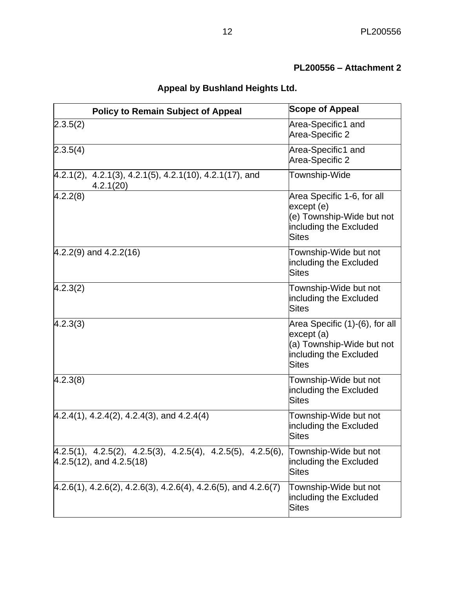# **PL200556 – Attachment 2**

|  | <b>Appeal by Bushland Heights Ltd.</b> |  |  |
|--|----------------------------------------|--|--|
|--|----------------------------------------|--|--|

| <b>Policy to Remain Subject of Appeal</b>                                                       | <b>Scope of Appeal</b>                                                                                              |
|-------------------------------------------------------------------------------------------------|---------------------------------------------------------------------------------------------------------------------|
| 2.3.5(2)                                                                                        | Area-Specific1 and<br>Area-Specific 2                                                                               |
| 2.3.5(4)                                                                                        | Area-Specific1 and<br>Area-Specific 2                                                                               |
| $[4.2.1(2), 4.2.1(3), 4.2.1(5), 4.2.1(10), 4.2.1(17),$ and<br>4.2.1(20)                         | Township-Wide                                                                                                       |
| 4.2.2(8)                                                                                        | Area Specific 1-6, for all<br>except (e)<br>(e) Township-Wide but not<br>including the Excluded<br><b>Sites</b>     |
| $4.2.2(9)$ and $4.2.2(16)$                                                                      | Township-Wide but not<br>including the Excluded<br><b>Sites</b>                                                     |
| 4.2.3(2)                                                                                        | Township-Wide but not<br>including the Excluded<br><b>Sites</b>                                                     |
| 4.2.3(3)                                                                                        | Area Specific (1)-(6), for all<br>except (a)<br>(a) Township-Wide but not<br>including the Excluded<br><b>Sites</b> |
| (4.2.3(8))                                                                                      | Township-Wide but not<br>including the Excluded<br><b>Sites</b>                                                     |
| $(4.2.4(1), 4.2.4(2), 4.2.4(3),$ and $4.2.4(4)$                                                 | Township-Wide but not<br>including the Excluded<br>Sites                                                            |
| $[4.2.5(1), 4.2.5(2), 4.2.5(3), 4.2.5(4), 4.2.5(5), 4.2.5(6),$<br>$4.2.5(12)$ , and $4.2.5(18)$ | Township-Wide but not<br>including the Excluded<br><b>Sites</b>                                                     |
| $[4.2.6(1), 4.2.6(2), 4.2.6(3), 4.2.6(4), 4.2.6(5),$ and $4.2.6(7)$                             | Township-Wide but not<br>including the Excluded<br><b>Sites</b>                                                     |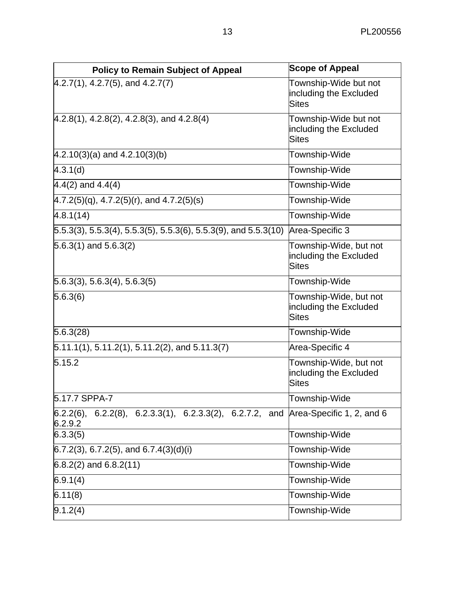| <b>Policy to Remain Subject of Appeal</b>                                    | <b>Scope of Appeal</b>                                           |
|------------------------------------------------------------------------------|------------------------------------------------------------------|
| $4.2.7(1), 4.2.7(5),$ and $4.2.7(7)$                                         | Township-Wide but not<br>including the Excluded<br><b>Sites</b>  |
| $(4.2.8(1), 4.2.8(2), 4.2.8(3),$ and $4.2.8(4)$                              | Township-Wide but not<br>including the Excluded<br><b>Sites</b>  |
| $4.2.10(3)(a)$ and $4.2.10(3)(b)$                                            | Township-Wide                                                    |
| 4.3.1(d)                                                                     | Township-Wide                                                    |
| $4.4(2)$ and $4.4(4)$                                                        | Township-Wide                                                    |
| $(4.7.2(5)(q), 4.7.2(5)(r),$ and $4.7.2(5)(s)$                               | Township-Wide                                                    |
| 4.8.1(14)                                                                    | Township-Wide                                                    |
| $[5.5.3(3), 5.5.3(4), 5.5.3(5), 5.5.3(6), 5.5.3(9), \text{ and } 5.5.3(10)]$ | Area-Specific 3                                                  |
| $5.6.3(1)$ and $5.6.3(2)$                                                    | Township-Wide, but not<br>including the Excluded<br><b>Sites</b> |
| 5.6.3(3), 5.6.3(4), 5.6.3(5)                                                 | Township-Wide                                                    |
| 5.6.3(6)                                                                     | Township-Wide, but not<br>including the Excluded<br><b>Sites</b> |
| 5.6.3(28)                                                                    | Township-Wide                                                    |
| $5.11.1(1), 5.11.2(1), 5.11.2(2),$ and $5.11.3(7)$                           | Area-Specific 4                                                  |
| 5.15.2                                                                       | Township-Wide, but not<br>including the Excluded<br><b>Sites</b> |
| 5.17.7 SPPA-7                                                                | Township-Wide                                                    |
| 6.2.2(8), 6.2.3.3(1), 6.2.3.3(2), 6.2.7.2, and<br>$6.2.2(6)$ ,<br>6.2.9.2    | Area-Specific 1, 2, and 6                                        |
| 6.3.3(5)                                                                     | Township-Wide                                                    |
| $(6.7.2(3), 6.7.2(5),$ and $6.7.4(3)(d)(i)$                                  | Township-Wide                                                    |
| $6.8.2(2)$ and $6.8.2(11)$                                                   | Township-Wide                                                    |
| 6.9.1(4)                                                                     | Township-Wide                                                    |
| 6.11(8)                                                                      | Township-Wide                                                    |
| 9.1.2(4)                                                                     | Township-Wide                                                    |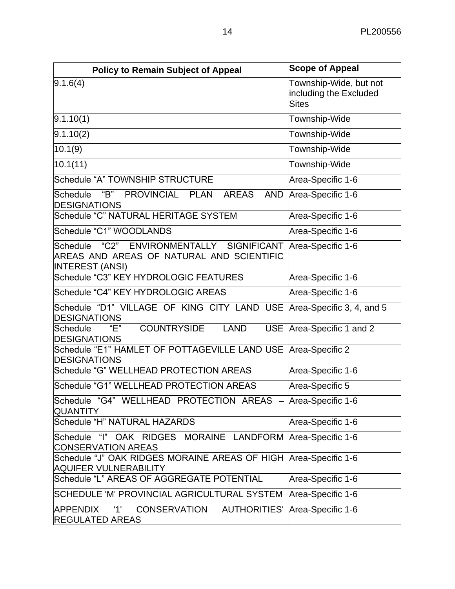| <b>Policy to Remain Subject of Appeal</b>                                                                        | <b>Scope of Appeal</b>                                           |
|------------------------------------------------------------------------------------------------------------------|------------------------------------------------------------------|
| 9.1.6(4)                                                                                                         | Township-Wide, but not<br>including the Excluded<br><b>Sites</b> |
| 9.1.10(1)                                                                                                        | Township-Wide                                                    |
| 9.1.10(2)                                                                                                        | Township-Wide                                                    |
| 10.1(9)                                                                                                          | Township-Wide                                                    |
| 10.1(11)                                                                                                         | Township-Wide                                                    |
| Schedule "A" TOWNSHIP STRUCTURE                                                                                  | Area-Specific 1-6                                                |
| "B" PROVINCIAL PLAN<br>Schedule<br><b>AREAS</b><br><b>AND</b><br><b>DESIGNATIONS</b>                             | Area-Specific 1-6                                                |
| Schedule "C" NATURAL HERITAGE SYSTEM                                                                             | Area-Specific 1-6                                                |
| Schedule "C1" WOODLANDS                                                                                          | Area-Specific 1-6                                                |
| Schedule "C2" ENVIRONMENTALLY SIGNIFICANT<br>AREAS AND AREAS OF NATURAL AND SCIENTIFIC<br><b>INTEREST (ANSI)</b> | Area-Specific 1-6                                                |
| Schedule "C3" KEY HYDROLOGIC FEATURES                                                                            | Area-Specific 1-6                                                |
| Schedule "C4" KEY HYDROLOGIC AREAS                                                                               | Area-Specific 1-6                                                |
| Schedule "D1" VILLAGE OF KING CITY LAND USE<br><b>DESIGNATIONS</b>                                               | Area-Specific 3, 4, and 5                                        |
| <b>COUNTRYSIDE</b><br>"Е"<br><b>USE</b><br>Schedule<br><b>LAND</b><br><b>DESIGNATIONS</b>                        | Area-Specific 1 and 2                                            |
| Schedule "E1" HAMLET OF POTTAGEVILLE LAND USE Area-Specific 2<br><b>DESIGNATIONS</b>                             |                                                                  |
| Schedule "G" WELLHEAD PROTECTION AREAS                                                                           | Area-Specific 1-6                                                |
| Schedule "G1" WELLHEAD PROTECTION AREAS                                                                          | Area-Specific 5                                                  |
| Schedule "G4" WELLHEAD PROTECTION AREAS - Area-Specific 1-6<br><b>QUANTITY</b>                                   |                                                                  |
| Schedule "H" NATURAL HAZARDS                                                                                     | Area-Specific 1-6                                                |
| Schedule "I" OAK RIDGES MORAINE LANDFORM<br><b>CONSERVATION AREAS</b>                                            | Area-Specific 1-6                                                |
| Schedule "J" OAK RIDGES MORAINE AREAS OF HIGH<br><b>AQUIFER VULNERABILITY</b>                                    | Area-Specific 1-6                                                |
| Schedule "L" AREAS OF AGGREGATE POTENTIAL                                                                        | Area-Specific 1-6                                                |
| SCHEDULE 'M' PROVINCIAL AGRICULTURAL SYSTEM                                                                      | Area-Specific 1-6                                                |
| <b>APPENDIX</b><br>'1'<br>CONSERVATION<br><b>AUTHORITIES'</b><br><b>REGULATED AREAS</b>                          | Area-Specific 1-6                                                |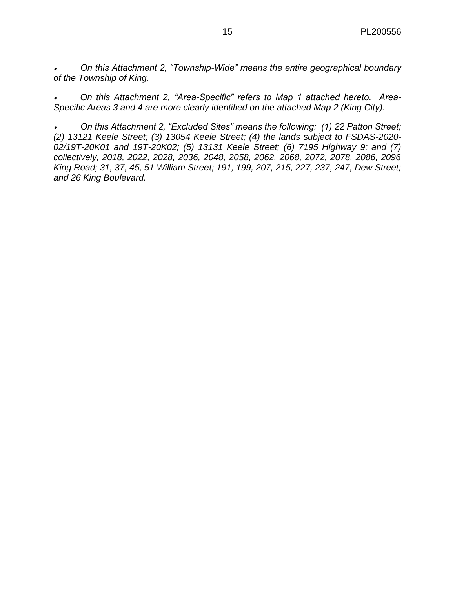• *On this Attachment 2, "Township-Wide" means the entire geographical boundary of the Township of King.*

• *On this Attachment 2, "Area-Specific" refers to Map 1 attached hereto. Area-Specific Areas 3 and 4 are more clearly identified on the attached Map 2 (King City).*

• *On this Attachment 2, "Excluded Sites" means the following: (1) 22 Patton Street; (2) 13121 Keele Street; (3) 13054 Keele Street; (4) the lands subject to FSDAS-2020- 02/19T-20K01 and 19T-20K02; (5) 13131 Keele Street; (6) 7195 Highway 9; and (7) collectively, 2018, 2022, 2028, 2036, 2048, 2058, 2062, 2068, 2072, 2078, 2086, 2096 King Road; 31, 37, 45, 51 William Street; 191, 199, 207, 215, 227, 237, 247, Dew Street; and 26 King Boulevard.*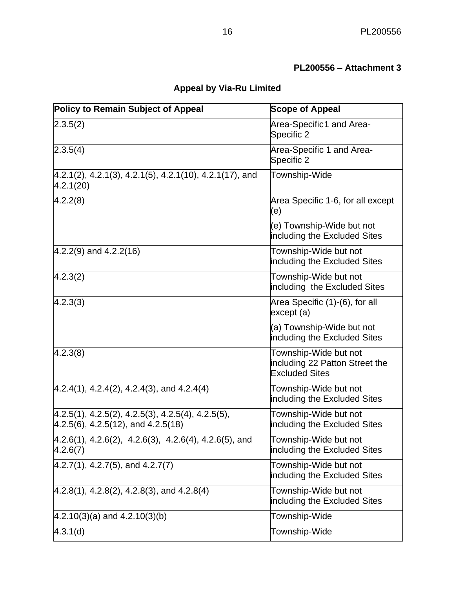# **PL200556 – Attachment 3**

# **Appeal by Via-Ru Limited**

| <b>Policy to Remain Subject of Appeal</b>                                                       | <b>Scope of Appeal</b>                                                           |
|-------------------------------------------------------------------------------------------------|----------------------------------------------------------------------------------|
| 2.3.5(2)                                                                                        | Area-Specific1 and Area-<br>Specific 2                                           |
| 2.3.5(4)                                                                                        | Area-Specific 1 and Area-<br>Specific 2                                          |
| $[4.2.1(2), 4.2.1(3), 4.2.1(5), 4.2.1(10), 4.2.1(17),$ and<br>4.2.1(20)                         | Township-Wide                                                                    |
| 4.2.2(8)                                                                                        | Area Specific 1-6, for all except<br>(e)                                         |
|                                                                                                 | (e) Township-Wide but not<br>including the Excluded Sites                        |
| $(4.2.2(9)$ and $4.2.2(16)$                                                                     | Township-Wide but not<br>including the Excluded Sites                            |
| 4.2.3(2)                                                                                        | Township-Wide but not<br>including the Excluded Sites                            |
| 4.2.3(3)                                                                                        | Area Specific (1)-(6), for all<br>except (a)                                     |
|                                                                                                 | (a) Township-Wide but not<br>including the Excluded Sites                        |
| 4.2.3(8)                                                                                        | Township-Wide but not<br>including 22 Patton Street the<br><b>Excluded Sites</b> |
| $(4.2.4(1), 4.2.4(2), 4.2.4(3),$ and $4.2.4(4)$                                                 | Township-Wide but not<br>including the Excluded Sites                            |
| $[4.2.5(1), 4.2.5(2), 4.2.5(3), 4.2.5(4), 4.2.5(5),$<br>$[4.2.5(6), 4.2.5(12),$ and $4.2.5(18)$ | Township-Wide but not<br>including the Excluded Sites                            |
| $4.2.6(1), 4.2.6(2), 4.2.6(3), 4.2.6(4), 4.2.6(5),$ and<br>4.2.6(7)                             | Township-Wide but not<br>including the Excluded Sites                            |
| $4.2.7(1), 4.2.7(5),$ and $4.2.7(7)$                                                            | Township-Wide but not<br>including the Excluded Sites                            |
| $(4.2.8(1), 4.2.8(2), 4.2.8(3),$ and $4.2.8(4)$                                                 | Township-Wide but not<br>including the Excluded Sites                            |
| $(4.2.10(3)(a)$ and $4.2.10(3)(b)$                                                              | Township-Wide                                                                    |
| 4.3.1(d)                                                                                        | Township-Wide                                                                    |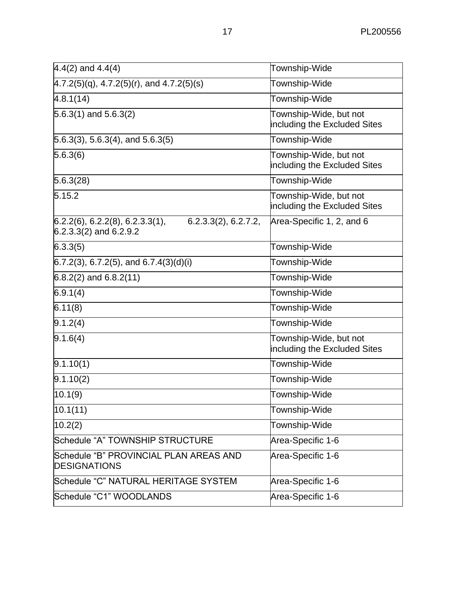| $4.4(2)$ and $4.4(4)$                                                                    | Township-Wide                                          |
|------------------------------------------------------------------------------------------|--------------------------------------------------------|
| $4.7.2(5)(q)$ , 4.7.2(5)(r), and 4.7.2(5)(s)                                             | Township-Wide                                          |
| 4.8.1(14)                                                                                | Township-Wide                                          |
| $5.6.3(1)$ and $5.6.3(2)$                                                                | Township-Wide, but not<br>including the Excluded Sites |
| $5.6.3(3)$ , 5.6.3(4), and 5.6.3(5)                                                      | Township-Wide                                          |
| 5.6.3(6)                                                                                 | Township-Wide, but not<br>including the Excluded Sites |
| 5.6.3(28)                                                                                | Township-Wide                                          |
| 5.15.2                                                                                   | Township-Wide, but not<br>including the Excluded Sites |
| $6.2.2(6)$ , 6.2.2(8), 6.2.3.3(1),<br>6.2.3.3(2), 6.2.7.2,<br>$6.2.3.3(2)$ and $6.2.9.2$ | Area-Specific 1, 2, and 6                              |
| 6.3.3(5)                                                                                 | Township-Wide                                          |
| $(6.7.2(3), 6.7.2(5),$ and $6.7.4(3)(d)(i)$                                              | Township-Wide                                          |
| $6.8.2(2)$ and $6.8.2(11)$                                                               | Township-Wide                                          |
| 6.9.1(4)                                                                                 | Township-Wide                                          |
| 6.11(8)                                                                                  | Township-Wide                                          |
| 9.1.2(4)                                                                                 | Township-Wide                                          |
| 9.1.6(4)                                                                                 | Township-Wide, but not<br>including the Excluded Sites |
| 9.1.10(1)                                                                                | Township-Wide                                          |
| 9.1.10(2)                                                                                | Township-Wide                                          |
| 10.1(9)                                                                                  | Township-Wide                                          |
| 10.1(11)                                                                                 | Township-Wide                                          |
| 10.2(2)                                                                                  | Township-Wide                                          |
| Schedule "A" TOWNSHIP STRUCTURE                                                          | Area-Specific 1-6                                      |
| Schedule "B" PROVINCIAL PLAN AREAS AND<br><b>DESIGNATIONS</b>                            | Area-Specific 1-6                                      |
| Schedule "C" NATURAL HERITAGE SYSTEM                                                     | Area-Specific 1-6                                      |
| Schedule "C1" WOODLANDS                                                                  | Area-Specific 1-6                                      |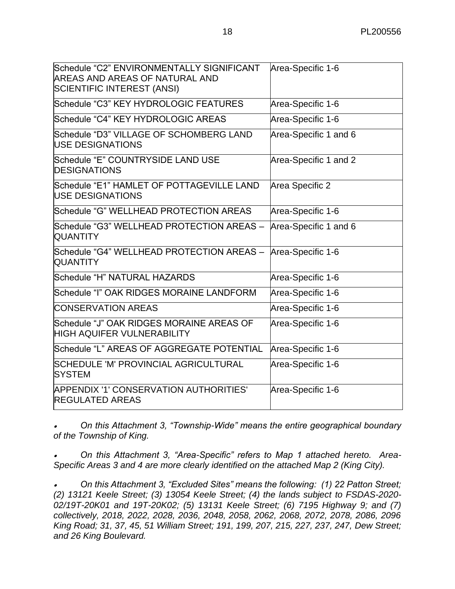| Schedule "C2" ENVIRONMENTALLY SIGNIFICANT<br>AREAS AND AREAS OF NATURAL AND<br><b>SCIENTIFIC INTEREST (ANSI)</b> | Area-Specific 1-6     |
|------------------------------------------------------------------------------------------------------------------|-----------------------|
| Schedule "C3" KEY HYDROLOGIC FEATURES                                                                            | Area-Specific 1-6     |
| Schedule "C4" KEY HYDROLOGIC AREAS                                                                               | Area-Specific 1-6     |
| Schedule "D3" VILLAGE OF SCHOMBERG LAND<br><b>IUSE DESIGNATIONS</b>                                              | Area-Specific 1 and 6 |
| Schedule "E" COUNTRYSIDE LAND USE<br><b>DESIGNATIONS</b>                                                         | Area-Specific 1 and 2 |
| Schedule "E1" HAMLET OF POTTAGEVILLE LAND<br><b>USE DESIGNATIONS</b>                                             | Area Specific 2       |
| Schedule "G" WELLHEAD PROTECTION AREAS                                                                           | Area-Specific 1-6     |
| Schedule "G3" WELLHEAD PROTECTION AREAS -<br><b>QUANTITY</b>                                                     | Area-Specific 1 and 6 |
| Schedule "G4" WELLHEAD PROTECTION AREAS - Area-Specific 1-6<br><b>QUANTITY</b>                                   |                       |
| Schedule "H" NATURAL HAZARDS                                                                                     | Area-Specific 1-6     |
| Schedule "I" OAK RIDGES MORAINE LANDFORM                                                                         | Area-Specific 1-6     |
| <b>CONSERVATION AREAS</b>                                                                                        | Area-Specific 1-6     |
| Schedule "J" OAK RIDGES MORAINE AREAS OF<br><b>HIGH AQUIFER VULNERABILITY</b>                                    | Area-Specific 1-6     |
| Schedule "L" AREAS OF AGGREGATE POTENTIAL                                                                        | Area-Specific 1-6     |
| SCHEDULE 'M' PROVINCIAL AGRICULTURAL<br><b>SYSTEM</b>                                                            | Area-Specific 1-6     |
| APPENDIX '1' CONSERVATION AUTHORITIES'<br><b>REGULATED AREAS</b>                                                 | Area-Specific 1-6     |

• *On this Attachment 3, "Township-Wide" means the entire geographical boundary of the Township of King.*

• *On this Attachment 3, "Area-Specific" refers to Map 1 attached hereto. Area-Specific Areas 3 and 4 are more clearly identified on the attached Map 2 (King City).*

• *On this Attachment 3, "Excluded Sites" means the following: (1) 22 Patton Street; (2) 13121 Keele Street; (3) 13054 Keele Street; (4) the lands subject to FSDAS-2020- 02/19T-20K01 and 19T-20K02; (5) 13131 Keele Street; (6) 7195 Highway 9; and (7) collectively, 2018, 2022, 2028, 2036, 2048, 2058, 2062, 2068, 2072, 2078, 2086, 2096 King Road; 31, 37, 45, 51 William Street; 191, 199, 207, 215, 227, 237, 247, Dew Street; and 26 King Boulevard.*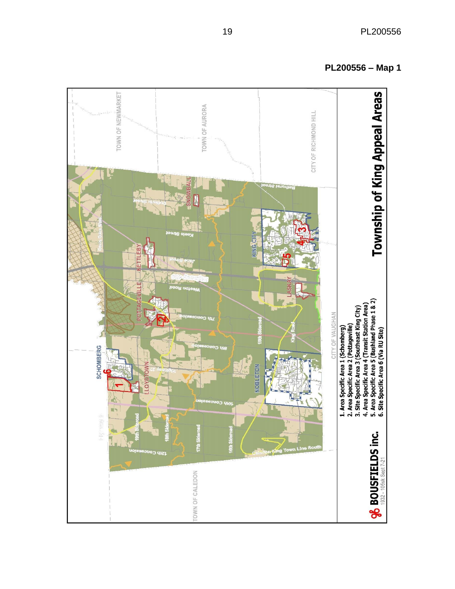**Township of King Appeal Areas** TOWN OF NEWMARKET TOWN OF AURORA CITY OF RICHMOND HILL **SIG CIT** TI FRY Ë 1. Area Specific Area 1 (Schomberg)<br>2. Area Specific Area 2 (Pottageville)<br>3. Site Specific Area 3 (Southeast King City)<br>4. Area Specific Area 4 (Transit Station Area)<br>5. Area Specific Area 5 (Bushland Phase 1 & 2)<br>6. Site CITY OF VAUGHAN **SCHOMBERG** 一、九、一、 **NOBLETON** č Fight scale & **17th Sidero % BOUSFIELDS inc.** isay C 105sk Sept 7-21 TOWN OF CALEDON 1932